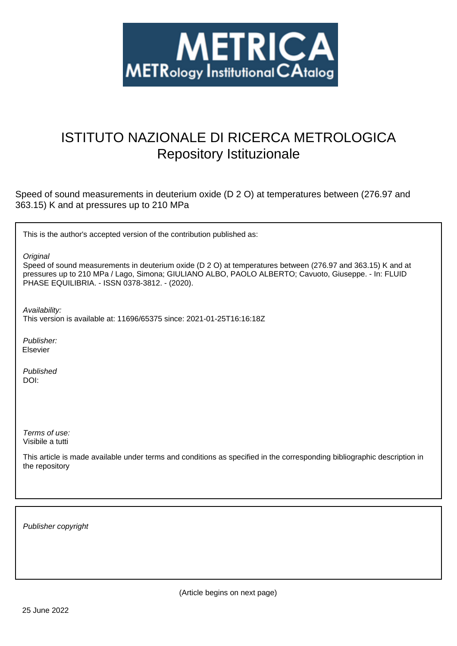

# ISTITUTO NAZIONALE DI RICERCA METROLOGICA Repository Istituzionale

Speed of sound measurements in deuterium oxide (D 2 O) at temperatures between (276.97 and 363.15) K and at pressures up to 210 MPa

This is the author's accepted version of the contribution published as:

**Original** 

Speed of sound measurements in deuterium oxide (D 2 O) at temperatures between (276.97 and 363.15) K and at pressures up to 210 MPa / Lago, Simona; GIULIANO ALBO, PAOLO ALBERTO; Cavuoto, Giuseppe. - In: FLUID PHASE EQUILIBRIA. - ISSN 0378-3812. - (2020).

Availability:

This version is available at: 11696/65375 since: 2021-01-25T16:16:18Z

Publisher: Elsevier

Published DOI:

Terms of use: Visibile a tutti

This article is made available under terms and conditions as specified in the corresponding bibliographic description in the repository

Publisher copyright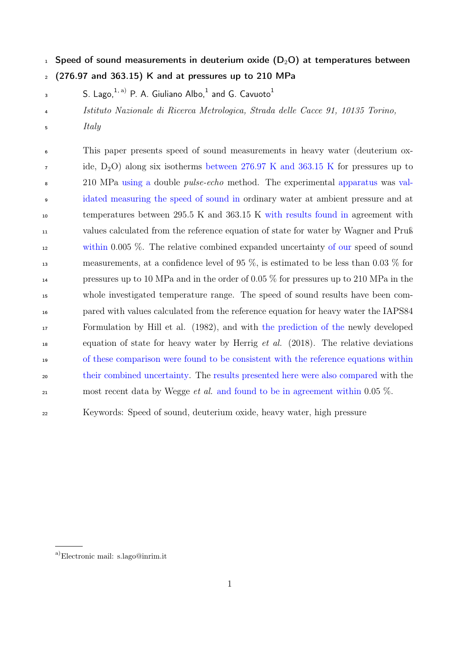$_1$  Speed of sound measurements in deuterium oxide (D<sub>2</sub>O) at temperatures between

 $2(276.97$  and 363.15) K and at pressures up to 210 MPa

- S. Lago, $^{1,\, \rm{a)}}$  P. A. Giuliano Albo, $^{1}$  and G. Cavuoto $^{1}$
- Istituto Nazionale di Ricerca Metrologica, Strada delle Cacce 91, 10135 Torino,
- Italy

 This paper presents speed of sound measurements in heavy water (deuterium oxide,  $D_2O$ ) along six isotherms between 276.97 K and 363.15 K for pressures up to 210 MPa using a double pulse-echo method. The experimental apparatus was val- idated measuring the speed of sound in ordinary water at ambient pressure and at temperatures between 295.5 K and 363.15 K with results found in agreement with values calculated from the reference equation of state for water by Wagner and Pruß within 0.005 %. The relative combined expanded uncertainty of our speed of sound measurements, at a confidence level of 95 %, is estimated to be less than 0.03 % for pressures up to 10 MPa and in the order of 0.05 % for pressures up to 210 MPa in the whole investigated temperature range. The speed of sound results have been com- pared with values calculated from the reference equation for heavy water the IAPS84 Formulation by Hill et al. (1982), and with the prediction of the newly developed equation of state for heavy water by Herrig et al. (2018). The relative deviations of these comparison were found to be consistent with the reference equations within their combined uncertainty. The results presented here were also compared with the 21 most recent data by Wegge *et al.* and found to be in agreement within 0.05  $\%$ .

Keywords: Speed of sound, deuterium oxide, heavy water, high pressure

a)Electronic mail: s.lago@inrim.it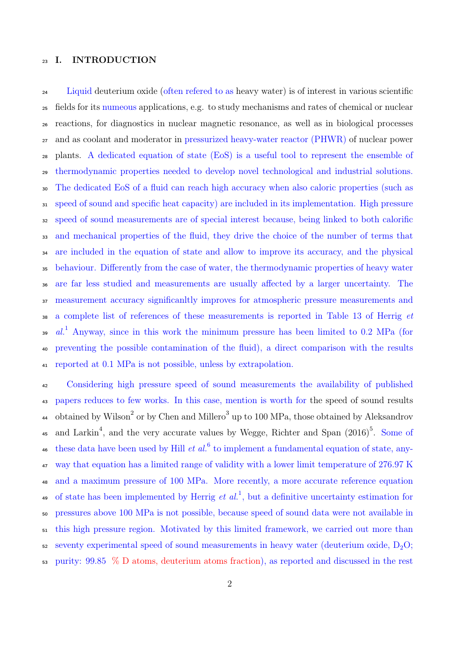# I. INTRODUCTION

 Liquid deuterium oxide (often refered to as heavy water) is of interest in various scientific fields for its numeous applications, e.g. to study mechanisms and rates of chemical or nuclear reactions, for diagnostics in nuclear magnetic resonance, as well as in biological processes and as coolant and moderator in pressurized heavy-water reactor (PHWR) of nuclear power plants. A dedicated equation of state (EoS) is a useful tool to represent the ensemble of thermodynamic properties needed to develop novel technological and industrial solutions. The dedicated EoS of a fluid can reach high accuracy when also caloric properties (such as speed of sound and specific heat capacity) are included in its implementation. High pressure speed of sound measurements are of special interest because, being linked to both calorific and mechanical properties of the fluid, they drive the choice of the number of terms that are included in the equation of state and allow to improve its accuracy, and the physical behaviour. Differently from the case of water, the thermodynamic properties of heavy water are far less studied and measurements are usually affected by a larger uncertainty. The measurement accuracy significanltly improves for atmospheric pressure measurements and a complete list of references of these measurements is reported in Table 13 of Herrig et <sup>39</sup> al.<sup>1</sup> Anyway, since in this work the minimum pressure has been limited to 0.2 MPa (for preventing the possible contamination of the fluid), a direct comparison with the results reported at 0.1 MPa is not possible, unless by extrapolation.

 Considering high pressure speed of sound measurements the availability of published papers reduces to few works. In this case, mention is worth for the speed of sound results <sup>44</sup> obtained by Wilson<sup>2</sup> or by Chen and Millero<sup>3</sup> up to 100 MPa, those obtained by Aleksandrov 45 and Larkin<sup>4</sup>, and the very accurate values by Wegge, Richter and Span  $(2016)^5$ . Some of <sup>46</sup> these data have been used by Hill *et al.*<sup>6</sup> to implement a fundamental equation of state, any- way that equation has a limited range of validity with a lower limit temperature of 276.97 K and a maximum pressure of 100 MPa. More recently, a more accurate reference equation 49 of state has been implemented by Herrig *et al.*<sup>1</sup>, but a definitive uncertainty estimation for pressures above 100 MPa is not possible, because speed of sound data were not available in this high pressure region. Motivated by this limited framework, we carried out more than 52 seventy experimental speed of sound measurements in heavy water (deuterium oxide,  $D_2O$ ; purity: 99.85 % D atoms, deuterium atoms fraction), as reported and discussed in the rest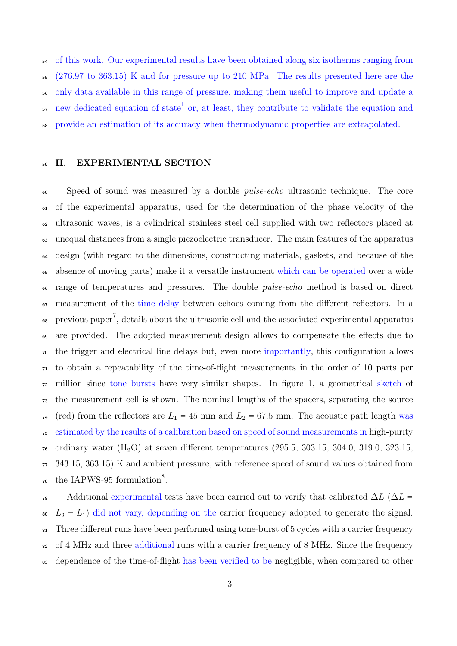of this work. Our experimental results have been obtained along six isotherms ranging from (276.97 to 363.15) K and for pressure up to 210 MPa. The results presented here are the only data available in this range of pressure, making them useful to improve and update a  $\mathbf{57}$  new dedicated equation of state<sup>1</sup> or, at least, they contribute to validate the equation and provide an estimation of its accuracy when thermodynamic properties are extrapolated.

## II. EXPERIMENTAL SECTION

 Speed of sound was measured by a double pulse-echo ultrasonic technique. The core of the experimental apparatus, used for the determination of the phase velocity of the ultrasonic waves, is a cylindrical stainless steel cell supplied with two reflectors placed at unequal distances from a single piezoelectric transducer. The main features of the apparatus design (with regard to the dimensions, constructing materials, gaskets, and because of the absence of moving parts) make it a versatile instrument which can be operated over a wide <sup>66</sup> range of temperatures and pressures. The double *pulse-echo* method is based on direct measurement of the time delay between echoes coming from the different reflectors. In a  $\delta$  previous paper<sup>7</sup>, details about the ultrasonic cell and the associated experimental apparatus are provided. The adopted measurement design allows to compensate the effects due to the trigger and electrical line delays but, even more importantly, this configuration allows to obtain a repeatability of the time-of-flight measurements in the order of 10 parts per million since tone bursts have very similar shapes. In figure 1, a geometrical sketch of the measurement cell is shown. The nominal lengths of the spacers, separating the source <sup>74</sup> (red) from the reflectors are  $L_1 = 45$  mm and  $L_2 = 67.5$  mm. The acoustic path length was estimated by the results of a calibration based on speed of sound measurements in high-purity  $_{76}$  ordinary water (H<sub>2</sub>O) at seven different temperatures (295.5, 303.15, 304.0, 319.0, 323.15, 343.15, 363.15) K and ambient pressure, with reference speed of sound values obtained from  $\tau$ <sup>8</sup> the IAPWS-95 formulation<sup>8</sup>.

 $\sigma$  Additional experimental tests have been carried out to verify that calibrated  $\Delta L$  ( $\Delta L$  = 80  $L_2 - L_1$ ) did not vary, depending on the carrier frequency adopted to generate the signal. 81 Three different runs have been performed using tone-burst of 5 cycles with a carrier frequency 82 of 4 MHz and three additional runs with a carrier frequency of 8 MHz. Since the frequency 83 dependence of the time-of-flight has been verified to be negligible, when compared to other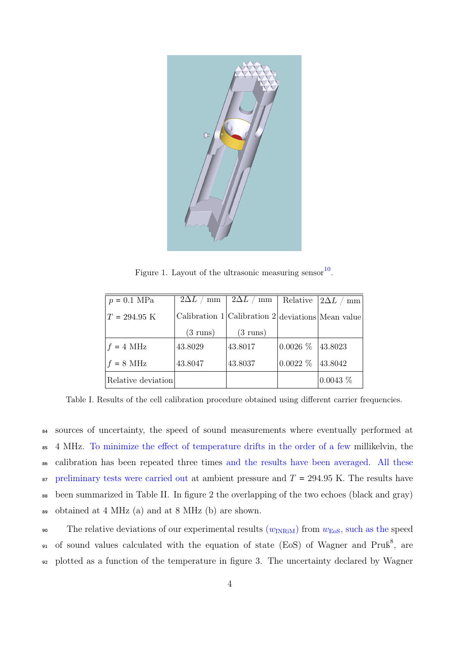

Figure 1. Layout of the ultrasonic measuring sensor  $10$ .

| $p = 0.1$ MPa          | $2\Delta L$<br>mm  | $2\Delta L$ / mm                                        | Relative                    | $ 2\Delta L $<br>mm |
|------------------------|--------------------|---------------------------------------------------------|-----------------------------|---------------------|
| $T = 294.95 \text{ K}$ |                    | Calibration 1   Calibration 2   deviations   Mean value |                             |                     |
|                        | $(3 \text{ runs})$ | $(3 \text{ runs})$                                      |                             |                     |
| $f = 4 \text{ MHz}$    | 43.8029            | 43.8017                                                 | $ 0.0026 \; \% \;  43.8023$ |                     |
| $f = 8 \text{ MHz}$    | 43.8047            | 43.8037                                                 | $0.0022\%$                  | 43.8042             |
| Relative deviation     |                    |                                                         |                             | 0.0043~%            |

Table I. Results of the cell calibration procedure obtained using different carrier frequencies.

 sources of uncertainty, the speed of sound measurements where eventually performed at 4 MHz. To minimize the effect of temperature drifts in the order of a few millikelvin, the calibration has been repeated three times and the results have been averaged. All these  $\frac{1}{87}$  preliminary tests were carried out at ambient pressure and  $T = 294.95$  K. The results have been summarized in Table II. In figure 2 the overlapping of the two echoes (black and gray) obtained at 4 MHz (a) and at 8 MHz (b) are shown.

90 The relative deviations of our experimental results  $(w_{\text{INRiM}})$  from  $w_{\text{EoS}}$ , such as the speed <sup>91</sup> of sound values calculated with the equation of state (EoS) of Wagner and Pruß<sup>8</sup>, are <sup>92</sup> plotted as a function of the temperature in figure 3. The uncertainty declared by Wagner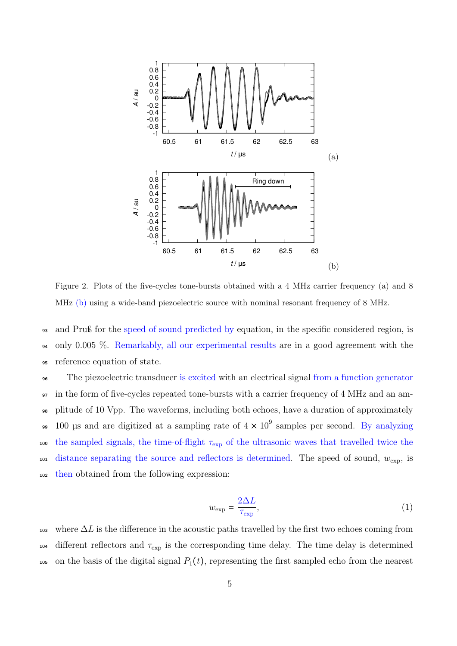

Figure 2. Plots of the five-cycles tone-bursts obtained with a 4 MHz carrier frequency (a) and 8 MHz (b) using a wide-band piezoelectric source with nominal resonant frequency of 8 MHz.

<sup>93</sup> and Pruß for the speed of sound predicted by equation, in the specific considered region, is <sup>94</sup> only 0.005 %. Remarkably, all our experimental results are in a good agreement with the <sup>95</sup> reference equation of state.

<sup>96</sup> The piezoelectric transducer is excited with an electrical signal from a function generator <sup>97</sup> in the form of five-cycles repeated tone-bursts with a carrier frequency of 4 MHz and an am-<sup>98</sup> plitude of 10 Vpp. The waveforms, including both echoes, have a duration of approximately <sup>99</sup> 100 µs and are digitized at a sampling rate of  $4 \times 10^9$  samples per second. By analyzing 100 the sampled signals, the time-of-flight  $\tau_{\text{exp}}$  of the ultrasonic waves that travelled twice the 101 distance separating the source and reflectors is determined. The speed of sound,  $w_{\text{exp}}$ , is <sup>102</sup> then obtained from the following expression:

$$
w_{\exp} = \frac{2\Delta L}{\tau_{\exp}},\tag{1}
$$

103 where  $\Delta L$  is the difference in the acoustic paths travelled by the first two echoes coming from 104 different reflectors and  $\tau_{\text{exp}}$  is the corresponding time delay. The time delay is determined 105 on the basis of the digital signal  $P_1(t)$ , representing the first sampled echo from the nearest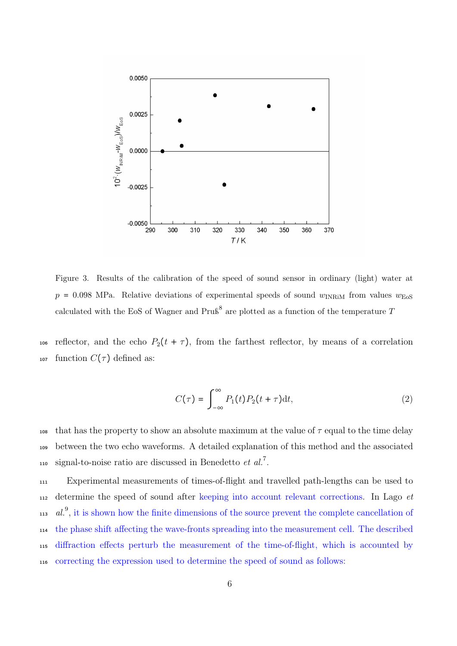

Figure 3. Results of the calibration of the speed of sound sensor in ordinary (light) water at  $p = 0.098$  MPa. Relative deviations of experimental speeds of sound  $w_{\text{INRiM}}$  from values  $w_{\text{EoS}}$ calculated with the EoS of Wagner and  $PruS<sup>8</sup>$  are plotted as a function of the temperature T

106 reflector, and the echo  $P_2(t + \tau)$ , from the farthest reflector, by means of a correlation 107 function  $C(\tau)$  defined as:

$$
C(\tau) = \int_{-\infty}^{\infty} P_1(t) P_2(t + \tau) dt,
$$
\n(2)

108 that has the property to show an absolute maximum at the value of  $\tau$  equal to the time delay <sup>109</sup> between the two echo waveforms. A detailed explanation of this method and the associated 110 signal-to-noise ratio are discussed in Benedetto *et al.*<sup>7</sup>.

 Experimental measurements of times-of-flight and travelled path-lengths can be used to  $_{112}$  determine the speed of sound after keeping into account relevant corrections. In Lago *et*  $113 \text{ } al.^9$ , it is shown how the finite dimensions of the source prevent the complete cancellation of the phase shift affecting the wave-fronts spreading into the measurement cell. The described diffraction effects perturb the measurement of the time-of-flight, which is accounted by correcting the expression used to determine the speed of sound as follows: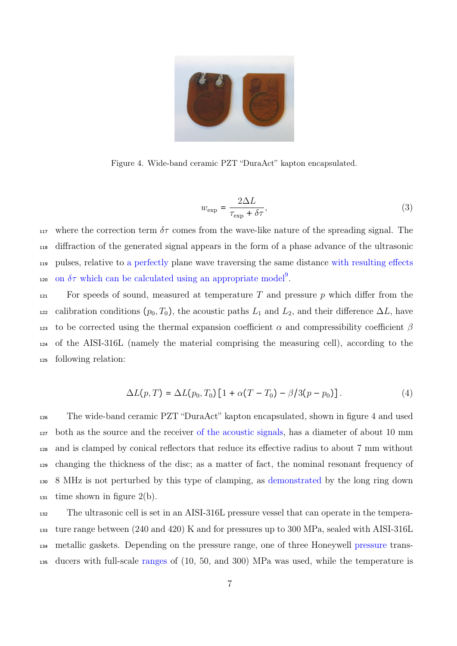

Figure 4. Wide-band ceramic PZT "DuraAct" kapton encapsulated.

$$
w_{\exp} = \frac{2\Delta L}{\tau_{\exp} + \delta \tau},\tag{3}
$$

117 where the correction term  $\delta\tau$  comes from the wave-like nature of the spreading signal. The <sup>118</sup> diffraction of the generated signal appears in the form of a phase advance of the ultrasonic <sup>119</sup> pulses, relative to a perfectly plane wave traversing the same distance with resulting effects 120 on  $\delta\tau$  which can be calculated using an appropriate model<sup>9</sup>.

121 For speeds of sound, measured at temperature T and pressure p which differ from the <sup>122</sup> calibration conditions  $(p_0, T_0)$ , the acoustic paths  $L_1$  and  $L_2$ , and their difference  $\Delta L$ , have 123 to be corrected using the thermal expansion coefficient  $\alpha$  and compressibility coefficient  $\beta$ <sup>124</sup> of the AISI-316L (namely the material comprising the measuring cell), according to the <sup>125</sup> following relation:

$$
\Delta L(p,T) = \Delta L(p_0, T_0) [1 + \alpha (T - T_0) - \beta / 3(p - p_0)]. \tag{4}
$$

 The wide-band ceramic PZT "DuraAct" kapton encapsulated, shown in figure 4 and used both as the source and the receiver of the acoustic signals, has a diameter of about 10 mm and is clamped by conical reflectors that reduce its effective radius to about 7 mm without changing the thickness of the disc; as a matter of fact, the nominal resonant frequency of 8 MHz is not perturbed by this type of clamping, as demonstrated by the long ring down  $_{131}$  time shown in figure 2(b).

 The ultrasonic cell is set in an AISI-316L pressure vessel that can operate in the tempera- ture range between (240 and 420) K and for pressures up to 300 MPa, sealed with AISI-316L metallic gaskets. Depending on the pressure range, one of three Honeywell pressure trans-ducers with full-scale ranges of (10, 50, and 300) MPa was used, while the temperature is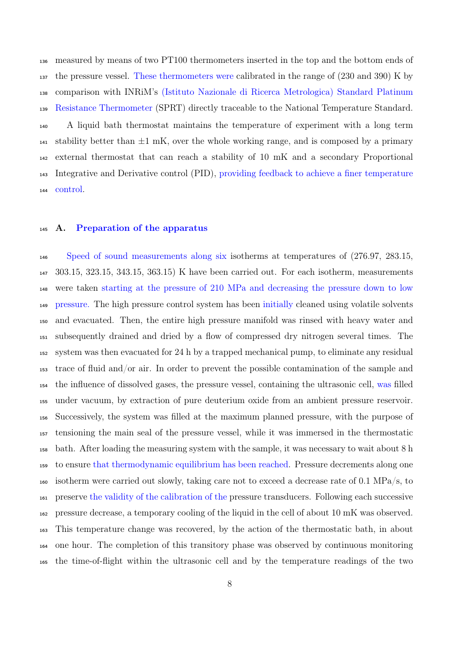measured by means of two PT100 thermometers inserted in the top and the bottom ends of the pressure vessel. These thermometers were calibrated in the range of (230 and 390) K by comparison with INRiM's (Istituto Nazionale di Ricerca Metrologica) Standard Platinum Resistance Thermometer (SPRT) directly traceable to the National Temperature Standard. A liquid bath thermostat maintains the temperature of experiment with a long term 141 stability better than  $\pm 1$  mK, over the whole working range, and is composed by a primary external thermostat that can reach a stability of 10 mK and a secondary Proportional Integrative and Derivative control (PID), providing feedback to achieve a finer temperature control.

#### A. Preparation of the apparatus

 Speed of sound measurements along six isotherms at temperatures of (276.97, 283.15, 303.15, 323.15, 343.15, 363.15) K have been carried out. For each isotherm, measurements were taken starting at the pressure of 210 MPa and decreasing the pressure down to low pressure. The high pressure control system has been initially cleaned using volatile solvents and evacuated. Then, the entire high pressure manifold was rinsed with heavy water and subsequently drained and dried by a flow of compressed dry nitrogen several times. The system was then evacuated for 24 h by a trapped mechanical pump, to eliminate any residual trace of fluid and/or air. In order to prevent the possible contamination of the sample and the influence of dissolved gases, the pressure vessel, containing the ultrasonic cell, was filled under vacuum, by extraction of pure deuterium oxide from an ambient pressure reservoir. Successively, the system was filled at the maximum planned pressure, with the purpose of tensioning the main seal of the pressure vessel, while it was immersed in the thermostatic bath. After loading the measuring system with the sample, it was necessary to wait about 8 h to ensure that thermodynamic equilibrium has been reached. Pressure decrements along one isotherm were carried out slowly, taking care not to exceed a decrease rate of 0.1 MPa/s, to preserve the validity of the calibration of the pressure transducers. Following each successive pressure decrease, a temporary cooling of the liquid in the cell of about 10 mK was observed. This temperature change was recovered, by the action of the thermostatic bath, in about one hour. The completion of this transitory phase was observed by continuous monitoring the time-of-flight within the ultrasonic cell and by the temperature readings of the two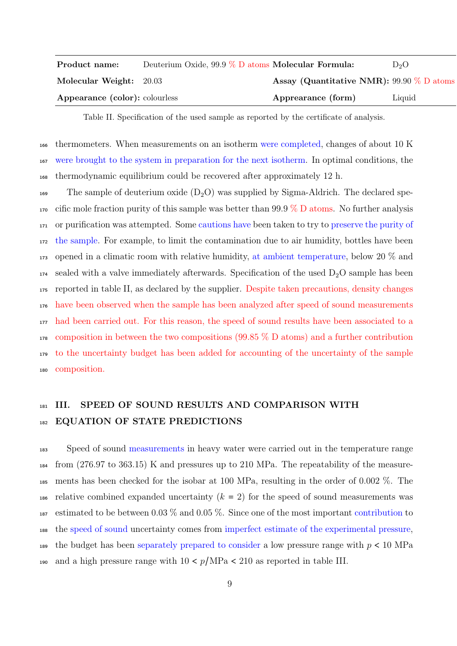| Product name:                  | Deuterium Oxide, $99.9\%$ D atoms Molecular Formula: |                                              | $D_2O$ |
|--------------------------------|------------------------------------------------------|----------------------------------------------|--------|
| Molecular Weight: 20.03        |                                                      | Assay (Quantitative NMR): 99.90 $\%$ D atoms |        |
| Appearance (color): colourless |                                                      | Apprearance (form)                           | Liquid |

Table II. Specification of the used sample as reported by the certificate of analysis.

<sup>166</sup> thermometers. When measurements on an isotherm were completed, changes of about 10 K <sup>167</sup> were brought to the system in preparation for the next isotherm. In optimal conditions, the <sup>168</sup> thermodynamic equilibrium could be recovered after approximately 12 h.

169 The sample of deuterium oxide  $(D_2O)$  was supplied by Sigma-Aldrich. The declared spe-170 cific mole fraction purity of this sample was better than 99.9  $\%$  D atoms. No further analysis or purification was attempted. Some cautions have been taken to try to preserve the purity of the sample. For example, to limit the contamination due to air humidity, bottles have been opened in a climatic room with relative humidity, at ambient temperature, below 20 % and  $_{174}$  sealed with a valve immediately afterwards. Specification of the used  $D_2O$  sample has been reported in table II, as declared by the supplier. Despite taken precautions, density changes have been observed when the sample has been analyzed after speed of sound measurements had been carried out. For this reason, the speed of sound results have been associated to a composition in between the two compositions (99.85 % D atoms) and a further contribution to the uncertainty budget has been added for accounting of the uncertainty of the sample composition.

# 181 III. SPEED OF SOUND RESULTS AND COMPARISON WITH 182 EQUATION OF STATE PREDICTIONS

<sup>183</sup> Speed of sound measurements in heavy water were carried out in the temperature range <sup>184</sup> from (276.97 to 363.15) K and pressures up to 210 MPa. The repeatability of the measure-<sup>185</sup> ments has been checked for the isobar at 100 MPa, resulting in the order of 0.002 %. The 186 relative combined expanded uncertainty  $(k = 2)$  for the speed of sound measurements was 187 estimated to be between 0.03  $\%$  and 0.05  $\%$ . Since one of the most important contribution to <sup>188</sup> the speed of sound uncertainty comes from imperfect estimate of the experimental pressure, 189 the budget has been separately prepared to consider a low pressure range with  $p < 10$  MPa 190 and a high pressure range with  $10 < p/MPa < 210$  as reported in table III.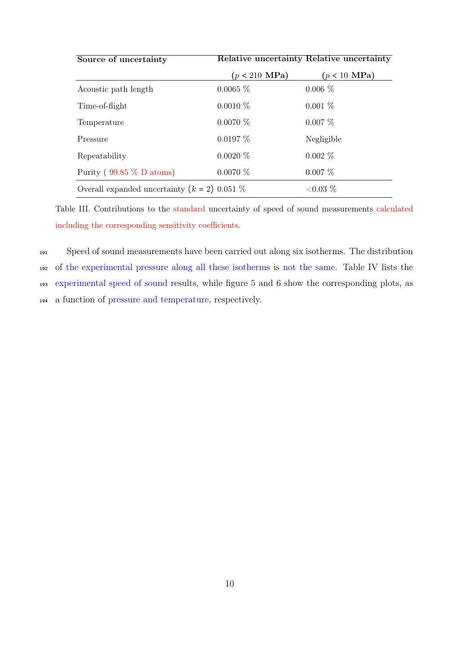| Source of uncertainty                            | Relative uncertainty Relative uncertainty |                        |  |
|--------------------------------------------------|-------------------------------------------|------------------------|--|
|                                                  | $(p < 210$ MPa)                           | $(p < 10 \text{ MPa})$ |  |
| Acoustic path length                             | $0.0065\%$                                | $0.006\%$              |  |
| Time-of-flight                                   | $0.0010\%$                                | $0.001\%$              |  |
| Temperature                                      | $0.0070\%$                                | $0.007\%$              |  |
| Pressure                                         | $0.0197\%$                                | Negligible             |  |
| Repeatability                                    | $0.0020\%$                                | $0.002\%$              |  |
| Purity ( $99.85\%$ D atoms)                      | $0.0070\%$                                | $0.007\%$              |  |
| Overall expanded uncertainty ( $k = 2$ ) 0.051 % |                                           | ${<}0.03\%$            |  |

Table III. Contributions to the standard uncertainty of speed of sound measurements calculated including the corresponding sensitivity coefficients.

 Speed of sound measurements have been carried out along six isotherms. The distribution of the experimental pressure along all these isotherms is not the same. Table IV lists the experimental speed of sound results, while figure 5 and 6 show the corresponding plots, as a function of pressure and temperature, respectively.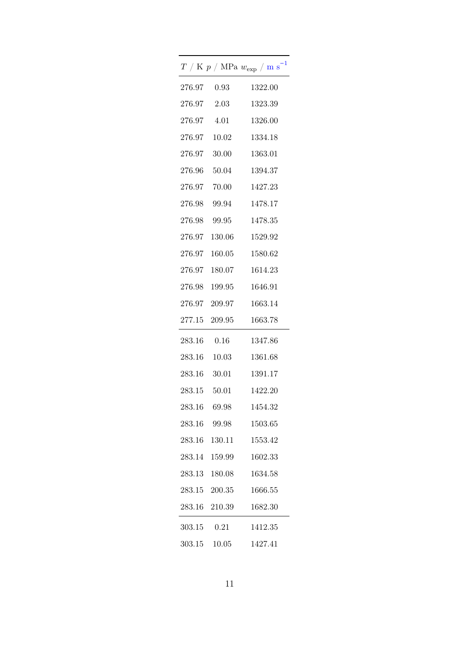|        |               | $T$ / K $p$ / MPa $w_{\rm exp}$ / m ${\rm s}^{-1}$ |
|--------|---------------|----------------------------------------------------|
|        | 276.97 0.93   | 1322.00                                            |
| 276.97 | 2.03          | 1323.39                                            |
| 276.97 | 4.01          | 1326.00                                            |
| 276.97 | 10.02         | 1334.18                                            |
|        | 276.97 30.00  | 1363.01                                            |
|        | 276.96 50.04  | 1394.37                                            |
|        | 276.97 70.00  | 1427.23                                            |
|        | 276.98 99.94  | 1478.17                                            |
|        | 276.98 99.95  | 1478.35                                            |
|        | 276.97 130.06 | 1529.92                                            |
|        | 276.97 160.05 | 1580.62                                            |
|        | 276.97 180.07 | 1614.23                                            |
|        | 276.98 199.95 | 1646.91                                            |
|        | 276.97 209.97 | 1663.14                                            |
|        | 277.15 209.95 | 1663.78                                            |
| 283.16 | 0.16          | 1347.86                                            |
|        | 283.16 10.03  | 1361.68                                            |
|        | 283.16 30.01  | 1391.17                                            |
|        | 283.15 50.01  | 1422.20                                            |
|        | 283.16 69.98  | 1454.32                                            |
|        | 283.16 99.98  | 1503.65                                            |
| 283.16 | 130.11        | 1553.42                                            |
| 283.14 | 159.99        | 1602.33                                            |
| 283.13 | 180.08        | 1634.58                                            |
|        | 283.15 200.35 | 1666.55                                            |
|        | 283.16 210.39 | 1682.30                                            |
| 303.15 | 0.21          | 1412.35                                            |
| 303.15 | 10.05         | 1427.41                                            |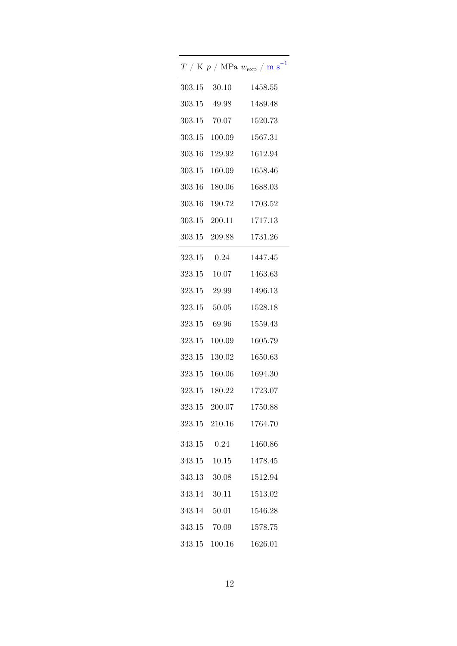|        |               | $T$ / K $p$ / MPa $w_{\rm exp}$ / m ${\rm s}^{-1}$ |
|--------|---------------|----------------------------------------------------|
|        | 303.15 30.10  | 1458.55                                            |
|        | 303.15 49.98  | 1489.48                                            |
|        | 303.15 70.07  | 1520.73                                            |
|        | 303.15 100.09 | 1567.31                                            |
|        | 303.16 129.92 | 1612.94                                            |
|        | 303.15 160.09 | 1658.46                                            |
|        | 303.16 180.06 | 1688.03                                            |
|        | 303.16 190.72 | 1703.52                                            |
|        | 303.15 200.11 | 1717.13                                            |
|        | 303.15 209.88 | 1731.26                                            |
|        | 323.15 0.24   | 1447.45                                            |
|        | 323.15 10.07  | 1463.63                                            |
|        | 323.15 29.99  | 1496.13                                            |
|        | 323.15 50.05  | 1528.18                                            |
|        | 323.15 69.96  | 1559.43                                            |
|        | 323.15 100.09 | 1605.79                                            |
|        | 323.15 130.02 | 1650.63                                            |
|        | 323.15 160.06 | 1694.30                                            |
|        | 323.15 180.22 | 1723.07                                            |
|        | 323.15 200.07 | 1750.88                                            |
|        | 323.15 210.16 | 1764.70                                            |
| 343.15 | 0.24          | 1460.86                                            |
| 343.15 | 10.15         | 1478.45                                            |
| 343.13 | 30.08         | 1512.94                                            |
| 343.14 | 30.11         | 1513.02                                            |
|        | 343.14 50.01  | 1546.28                                            |
|        | 343.15 70.09  | 1578.75                                            |
|        | 343.15 100.16 | 1626.01                                            |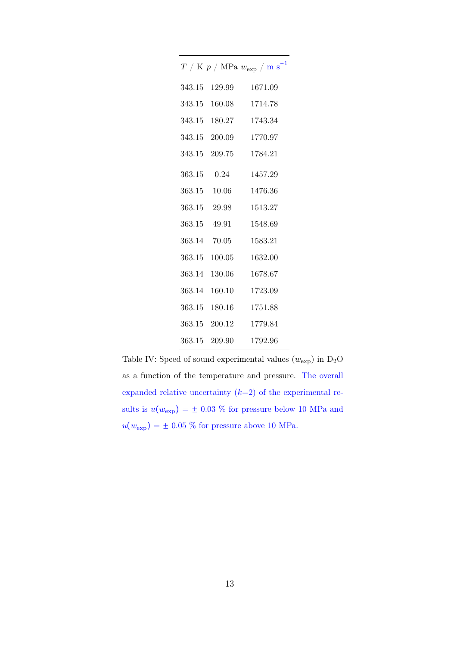|              |               | $T$ / K $p$ / MPa $w_{\rm exp}$ / ${\rm m~s}^{-1}$ |
|--------------|---------------|----------------------------------------------------|
| 343.15       | 129.99        | 1671.09                                            |
| 343.15       | 160.08        | 1714.78                                            |
|              | 343.15 180.27 | 1743.34                                            |
|              | 343.15 200.09 | 1770.97                                            |
|              | 343.15 209.75 | 1784.21                                            |
| 363.15 0.24  |               | 1457.29                                            |
| 363.15 10.06 |               | 1476.36                                            |
| 363.15 29.98 |               | 1513.27                                            |
| 363.15 49.91 |               | 1548.69                                            |
| 363.14 70.05 |               | 1583.21                                            |
| 363.15       | 100.05        | 1632.00                                            |
| 363.14       | 130.06        | 1678.67                                            |
| 363.14       | 160.10        | 1723.09                                            |
|              | 363.15 180.16 | 1751.88                                            |
|              | 363.15 200.12 | 1779.84                                            |
|              | 363.15 209.90 | 1792.96                                            |

Table IV: Speed of sound experimental values  $(w_{\mathrm{exp}})$  in  $\mathrm{D}_2\mathrm{O}$ as a function of the temperature and pressure. The overall expanded relative uncertainty  $(k=2)$  of the experimental results is  $u(w_{\text{exp}}) = \pm$  0.03 % for pressure below 10 MPa and  $u(w_{\mathrm{exp}})$  =  $\pm$  0.05 % for pressure above 10 MPa.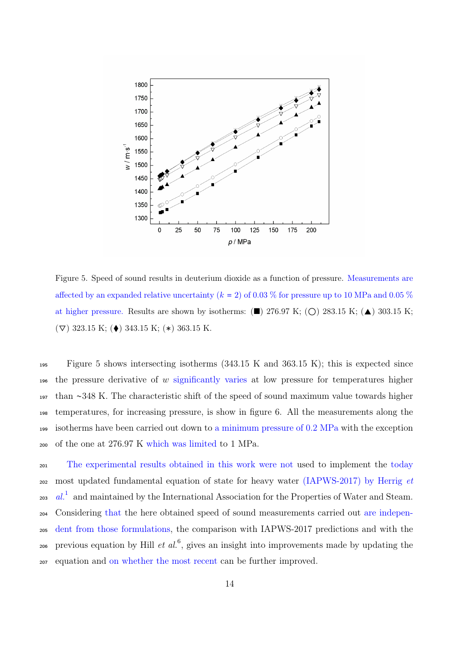

Figure 5. Speed of sound results in deuterium dioxide as a function of pressure. Measurements are affected by an expanded relative uncertainty  $(k = 2)$  of 0.03 % for pressure up to 10 MPa and 0.05 % at higher pressure. Results are shown by isotherms:  $(\blacksquare)$  276.97 K;  $(\bigcirc)$  283.15 K;  $(\blacktriangle)$  303.15 K;  $(\nabla)$  323.15 K; ( $\blacklozenge$ ) 343.15 K; (\*) 363.15 K.

 Figure 5 shows intersecting isotherms (343.15 K and 363.15 K); this is expected since 196 the pressure derivative of  $w$  significantly varies at low pressure for temperatures higher than ∼348 K. The characteristic shift of the speed of sound maximum value towards higher temperatures, for increasing pressure, is show in figure 6. All the measurements along the 199 isotherms have been carried out down to a minimum pressure of  $0.2$  MPa with the exception of the one at 276.97 K which was limited to 1 MPa.

 The experimental results obtained in this work were not used to implement the today most updated fundamental equation of state for heavy water (IAPWS-2017) by Herrig et  $_{203}$  al.<sup>1</sup> and maintained by the International Association for the Properties of Water and Steam. Considering that the here obtained speed of sound measurements carried out are indepen- dent from those formulations, the comparison with IAPWS-2017 predictions and with the <sub>206</sub> previous equation by Hill *et al.*<sup>6</sup>, gives an insight into improvements made by updating the equation and on whether the most recent can be further improved.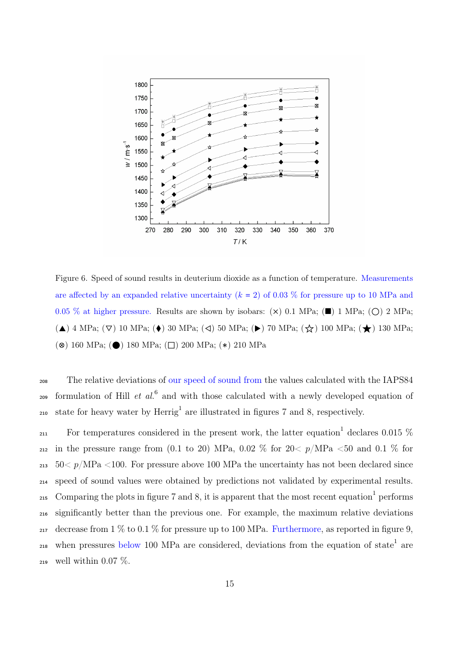

Figure 6. Speed of sound results in deuterium dioxide as a function of temperature. Measurements are affected by an expanded relative uncertainty  $(k = 2)$  of 0.03 % for pressure up to 10 MPa and 0.05 % at higher pressure. Results are shown by isobars:  $(\times)$  0.1 MPa;  $(\blacksquare)$  1 MPa;  $(\bigcirc)$  2 MPa; (▲) 4 MPa; (▽) 10 MPa; (◆) 30 MPa; (⊲) 50 MPa; (▶) 70 MPa; (☆) 100 MPa; (★) 130 MPa; (⊗) 160 MPa; (⬤) 180 MPa; (⬜) 200 MPa; (∗) 210 MPa

<sup>208</sup> The relative deviations of our speed of sound from the values calculated with the IAPS84 <sup>209</sup> formulation of Hill *et al.*<sup>6</sup> and with those calculated with a newly developed equation of <sup>210</sup> state for heavy water by  $\text{Herrig}^1$  are illustrated in figures 7 and 8, respectively.

 $_{211}$  For temperatures considered in the present work, the latter equation<sup>1</sup> declares 0.015  $%$ 212 in the pressure range from (0.1 to 20) MPa, 0.02 % for  $20 < p/MPa < 50$  and 0.1 % for  $_{213}$  50 $\lt p/MPa$   $\lt$ 100. For pressure above 100 MPa the uncertainty has not been declared since <sup>214</sup> speed of sound values were obtained by predictions not validated by experimental results. 215 Comparing the plots in figure 7 and 8, it is apparent that the most recent equation<sup>1</sup> performs <sup>216</sup> significantly better than the previous one. For example, the maximum relative deviations 217 decrease from 1  $\%$  to 0.1  $\%$  for pressure up to 100 MPa. Furthermore, as reported in figure 9,  $_{218}$  when pressures below 100 MPa are considered, deviations from the equation of state<sup>1</sup> are 219 well within 0.07  $\%$ .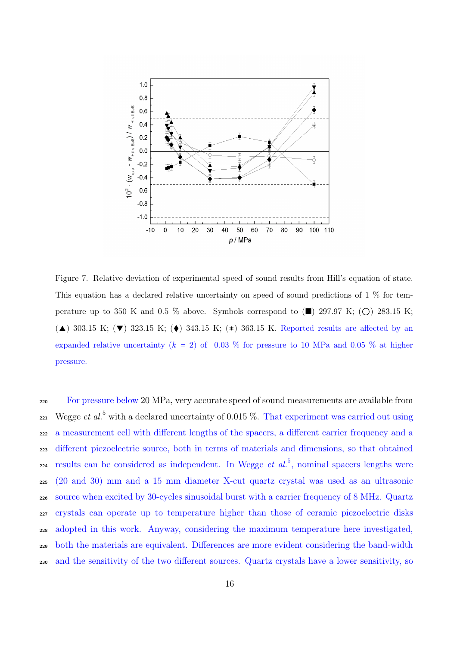

Figure 7. Relative deviation of experimental speed of sound results from Hill's equation of state. This equation has a declared relative uncertainty on speed of sound predictions of 1 % for temperature up to 350 K and 0.5 % above. Symbols correspond to  $(\blacksquare)$  297.97 K; ( $\bigcirc$ ) 283.15 K; ( $\blacktriangle$ ) 303.15 K; ( $\blacktriangledown$ ) 323.15 K; ( $\blacklozenge$ ) 343.15 K; (\*) 363.15 K. Reported results are affected by an expanded relative uncertainty ( $k = 2$ ) of 0.03 % for pressure to 10 MPa and 0.05 % at higher pressure.

 For pressure below 20 MPa, very accurate speed of sound measurements are available from  $_{221}$  Wegge *et al.*<sup>5</sup> with a declared uncertainty of 0.015 %. That experiment was carried out using a measurement cell with different lengths of the spacers, a different carrier frequency and a different piezoelectric source, both in terms of materials and dimensions, so that obtained  $\alpha$  results can be considered as independent. In Wegge *et al.*<sup>5</sup>, nominal spacers lengths were (20 and 30) mm and a 15 mm diameter X-cut quartz crystal was used as an ultrasonic source when excited by 30-cycles sinusoidal burst with a carrier frequency of 8 MHz. Quartz crystals can operate up to temperature higher than those of ceramic piezoelectric disks adopted in this work. Anyway, considering the maximum temperature here investigated, both the materials are equivalent. Differences are more evident considering the band-width and the sensitivity of the two different sources. Quartz crystals have a lower sensitivity, so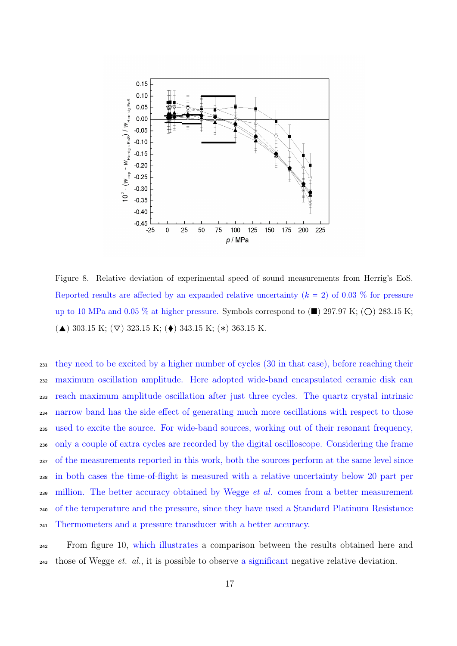

Figure 8. Relative deviation of experimental speed of sound measurements from Herrig's EoS. Reported results are affected by an expanded relative uncertainty  $(k = 2)$  of 0.03 % for pressure up to 10 MPa and 0.05 % at higher pressure. Symbols correspond to  $(\blacksquare)$  297.97 K;  $(\bigcirc)$  283.15 K; (▲) 303.15 K; (▽) 323.15 K; (◆) 343.15 K; (\*) 363.15 K.

 they need to be excited by a higher number of cycles (30 in that case), before reaching their maximum oscillation amplitude. Here adopted wide-band encapsulated ceramic disk can reach maximum amplitude oscillation after just three cycles. The quartz crystal intrinsic narrow band has the side effect of generating much more oscillations with respect to those used to excite the source. For wide-band sources, working out of their resonant frequency, only a couple of extra cycles are recorded by the digital oscilloscope. Considering the frame of the measurements reported in this work, both the sources perform at the same level since in both cases the time-of-flight is measured with a relative uncertainty below 20 part per million. The better accuracy obtained by Wegge et al. comes from a better measurement of the temperature and the pressure, since they have used a Standard Platinum Resistance Thermometers and a pressure transducer with a better accuracy.

 From figure 10, which illustrates a comparison between the results obtained here and  $_{243}$  those of Wegge *et. al.*, it is possible to observe a significant negative relative deviation.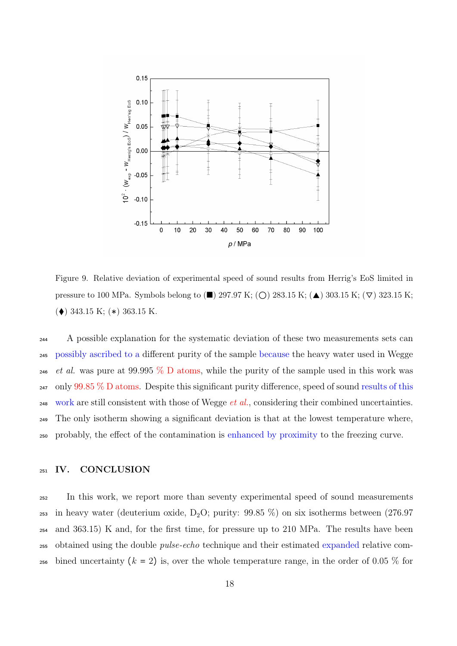

Figure 9. Relative deviation of experimental speed of sound results from Herrig's EoS limited in pressure to 100 MPa. Symbols belong to ( $\blacksquare$ ) 297.97 K; ( $\bigcirc$ ) 283.15 K; ( $\blacktriangle$ ) 303.15 K; ( $\nabla$ ) 323.15 K; (⧫) 343.15 K; (∗) 363.15 K.

<sup>244</sup> A possible explanation for the systematic deviation of these two measurements sets can <sup>245</sup> possibly ascribed to a different purity of the sample because the heavy water used in Wegge <sup>246</sup> et al. was pure at 99.995  $\%$  D atoms, while the purity of the sample used in this work was  $_{247}$  only 99.85 % D atoms. Despite this significant purity difference, speed of sound results of this 248 work are still consistent with those of Wegge *et al.*, considering their combined uncertainties. <sup>249</sup> The only isotherm showing a significant deviation is that at the lowest temperature where, <sup>250</sup> probably, the effect of the contamination is enhanced by proximity to the freezing curve.

### <sup>251</sup> IV. CONCLUSION

<sup>252</sup> In this work, we report more than seventy experimental speed of sound measurements 253 in heavy water (deuterium oxide,  $D_2O$ ; purity: 99.85 %) on six isotherms between (276.97 <sup>254</sup> and 363.15) K and, for the first time, for pressure up to 210 MPa. The results have been 255 obtained using the double *pulse-echo* technique and their estimated expanded relative com-256 bined uncertainty  $(k = 2)$  is, over the whole temperature range, in the order of 0.05 % for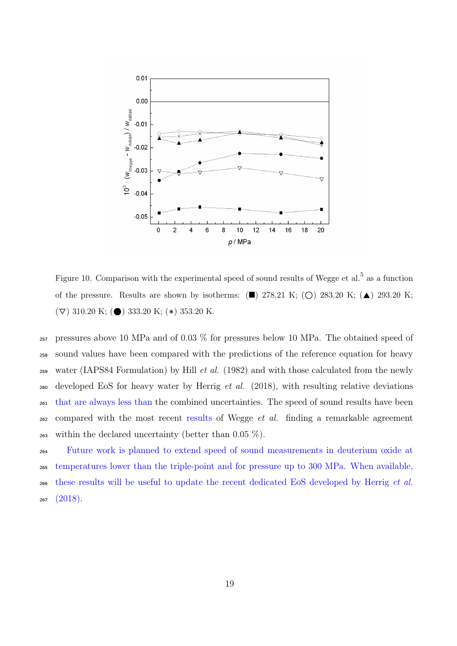

Figure 10. Comparison with the experimental speed of sound results of Wegge et al.<sup>5</sup> as a function of the pressure. Results are shown by isotherms:  $(\blacksquare)$  278.21 K;  $(\bigcirc)$  283.20 K;  $(\blacktriangle)$  293.20 K;  $(\nabla)$  310.20 K; (●) 333.20 K; (\*) 353.20 K.

<sup>257</sup> pressures above 10 MPa and of 0.03 % for pressures below 10 MPa. The obtained speed of <sup>258</sup> sound values have been compared with the predictions of the reference equation for heavy 259 water (IAPS84 Formulation) by Hill *et al.* (1982) and with those calculated from the newly <sub>260</sub> developed EoS for heavy water by Herrig *et al.* (2018), with resulting relative deviations <sup>261</sup> that are always less than the combined uncertainties. The speed of sound results have been  $262$  compared with the most recent results of Wegge *et al.* finding a remarkable agreement 263 within the declared uncertainty (better than  $0.05\%$ ).

 Future work is planned to extend speed of sound measurements in deuterium oxide at temperatures lower than the triple-point and for pressure up to 300 MPa. When available, these results will be useful to update the recent dedicated EoS developed by Herrig et al.  $267 (2018).$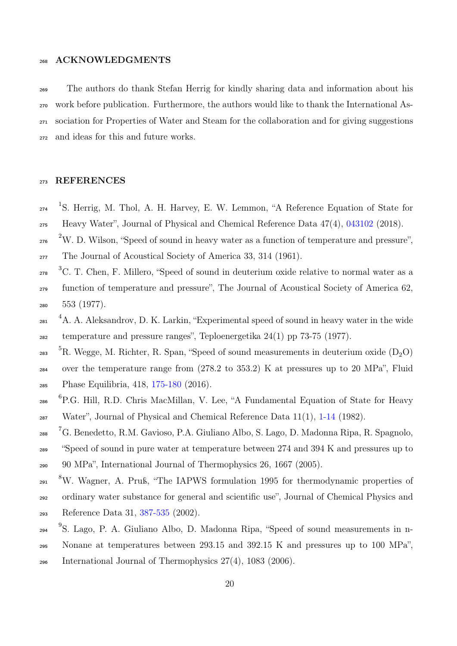## 268 ACKNOWLEDGMENTS

 The authors do thank Stefan Herrig for kindly sharing data and information about his work before publication. Furthermore, the authors would like to thank the International As- sociation for Properties of Water and Steam for the collaboration and for giving suggestions and ideas for this and future works.

# <sup>273</sup> REFERENCES

- $1274$  <sup>1</sup>S. Herrig, M. Thol, A. H. Harvey, E. W. Lemmon, "A Reference Equation of State for <sup>275</sup> Heavy Water", Journal of Physical and Chemical Reference Data 47(4), 043102 (2018).
- <sup>276</sup> <sup>2</sup>W. D. Wilson, "Speed of sound in heavy water as a function of temperature and pressure",
- <sup>277</sup> The Journal of Acoustical Society of America 33, 314 (1961).
- <sup>3</sup>C. T. Chen, F. Millero, "Speed of sound in deuterium oxide relative to normal water as a <sup>279</sup> function of temperature and pressure", The Journal of Acoustical Society of America 62, <sup>280</sup> 553 (1977).
- <sup>4</sup>A. A. Aleksandrov, D. K. Larkin, "Experimental speed of sound in heavy water in the wide  $_{282}$  temperature and pressure ranges", Teploenergetika  $24(1)$  pp 73-75 (1977).
- <sup>5</sup>R. Wegge, M. Richter, R. Span, "Speed of sound measurements in deuterium oxide  $(D_2O)$ <sup>284</sup> over the temperature range from (278.2 to 353.2) K at pressures up to 20 MPa", Fluid <sup>285</sup> Phase Equilibria, 418, 175-180 (2016).
- <sup>6</sup> P.G. Hill, R.D. Chris MacMillan, V. Lee, "A Fundamental Equation of State for Heavy  $\frac{287}{287}$  Water", Journal of Physical and Chemical Reference Data 11(1), 1-14 (1982).
- <sup>7</sup>G. Benedetto, R.M. Gavioso, P.A. Giuliano Albo, S. Lago, D. Madonna Ripa, R. Spagnolo, <sup>289</sup> "Speed of sound in pure water at temperature between 274 and 394 K and pressures up to <sup>290</sup> 90 MPa", International Journal of Thermophysics 26, 1667 (2005).
- <sup>8</sup>W. Wagner, A. Pruß, "The IAPWS formulation 1995 for thermodynamic properties of
- <sup>292</sup> ordinary water substance for general and scientific use", Journal of Chemical Physics and
- <sup>293</sup> Reference Data 31, 387-535 (2002).
- <sup>9</sup>S. Lago, P. A. Giuliano Albo, D. Madonna Ripa, "Speed of sound measurements in n-
- <sup>295</sup> Nonane at temperatures between 293.15 and 392.15 K and pressures up to 100 MPa",
- 296 International Journal of Thermophysics  $27(4)$ ,  $1083$   $(2006)$ .